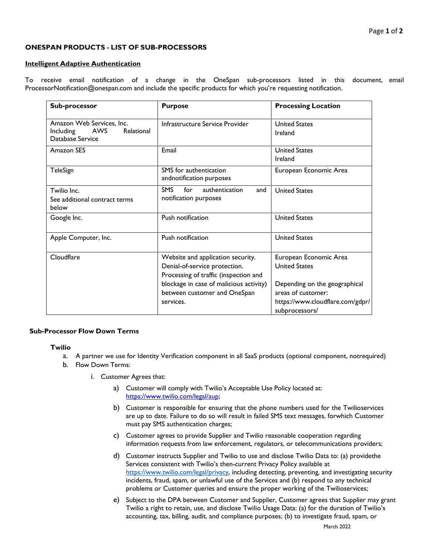# Page **1** of **2**

## **ONESPAN PRODUCTS - LIST OF SUB-PROCESSORS**

### **Intelligent Adaptive Authentication**

To receive email notification of a change in the OneSpan sub-processors listed in this document, email [ProcessorNotification@onespan.com a](mailto:ProcessorNotification@onespan.com)nd include the specific products for which you're requesting notification.

| Sub-processor                                                                   | <b>Purpose</b>                                                                                                                                                                                      | <b>Processing Location</b>                                                                                                                                  |
|---------------------------------------------------------------------------------|-----------------------------------------------------------------------------------------------------------------------------------------------------------------------------------------------------|-------------------------------------------------------------------------------------------------------------------------------------------------------------|
| Amazon Web Services, Inc.<br>AWS<br>Relational<br>Including<br>Database Service | Infrastructure Service Provider                                                                                                                                                                     | <b>United States</b><br>Ireland                                                                                                                             |
| Amazon SES                                                                      | Email                                                                                                                                                                                               | <b>United States</b><br>Ireland                                                                                                                             |
| TeleSign                                                                        | SMS for authentication<br>andnotification purposes                                                                                                                                                  | European Economic Area                                                                                                                                      |
| Twilio Inc.<br>See additional contract terms<br>below                           | <b>SMS</b><br>for<br>authentication<br>and<br>notification purposes                                                                                                                                 | <b>United States</b>                                                                                                                                        |
| Google Inc.                                                                     | Push notification                                                                                                                                                                                   | <b>United States</b>                                                                                                                                        |
| Apple Computer, Inc.                                                            | Push notification                                                                                                                                                                                   | <b>United States</b>                                                                                                                                        |
| Cloudflare                                                                      | Website and application security.<br>Denial-of-service protection.<br>Processing of traffic (inspection and<br>blockage in case of malicious activity)<br>between customer and OneSpan<br>services. | European Economic Area<br><b>United States</b><br>Depending on the geographical<br>areas of customer:<br>https://www.cloudflare.com/gdpr/<br>subprocessors/ |

## **Sub-Processor Flow Down Terms**

#### **Twilio**

- a. A partner we use for Identity Verification component in all SaaS products (optional component, notrequired)
- b. Flow Down Terms:
	- i. Customer Agrees that:
		- a) Customer will comply with Twilio's Acceptable Use Policy located at: [https://www.twilio.com/legal/aup;](https://www.twilio.com/legal/aup)
		- b) Customer is responsible for ensuring that the phone numbers used for the Twilioservices are up to date. Failure to do so will result in failed SMS text messages, forwhich Customer must pay SMS authentication charges;
		- c) Customer agrees to provide Supplier and Twilio reasonable cooperation regarding information requests from law enforcement, regulators, or telecommunications providers;
		- d) Customer instructs Supplier and Twilio to use and disclose Twilio Data to: (a) providethe Services consistent with Twilio's then-current Privacy Policy available at [https://www.twilio.com/legal/privacy, in](https://www.twilio.com/legal/privacy)cluding detecting, preventing, and investigating security incidents, fraud, spam, or unlawful use of the Services and (b) respond to any technical problems or Customer queries and ensure the proper working of the Twilioservices;
		- e) Subject to the DPA between Customer and Supplier, Customer agrees that Supplier may grant Twilio a right to retain, use, and disclose Twilio Usage Data: (a) for the duration of Twilio's accounting, tax, billing, audit, and compliance purposes; (b) to investigate fraud, spam, or